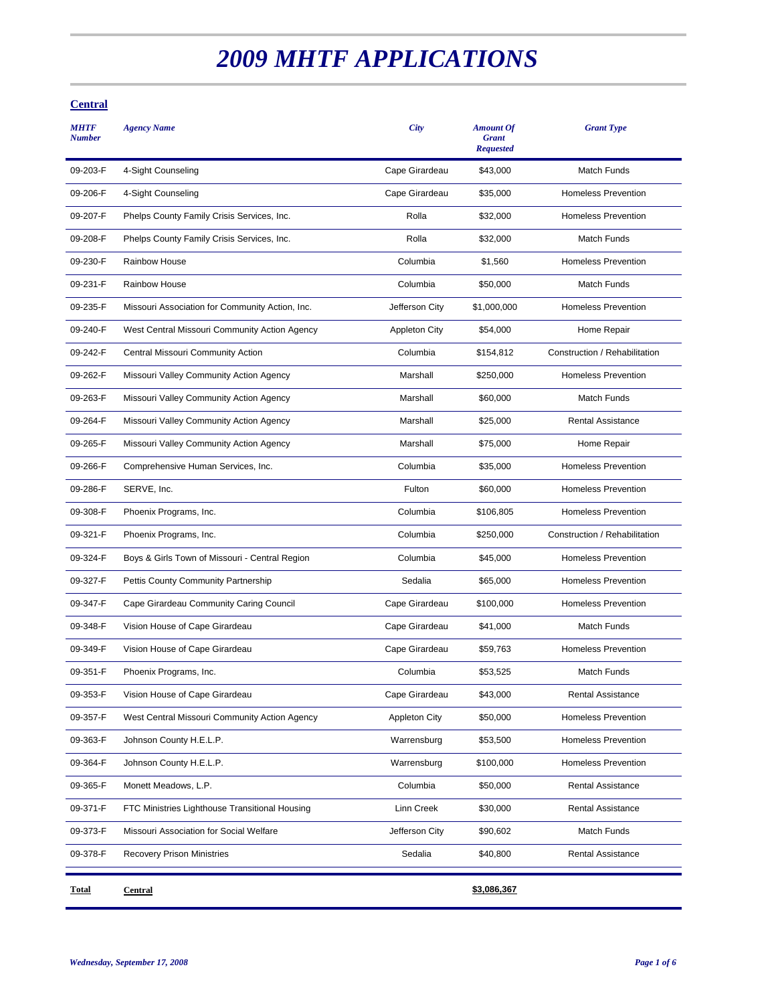# *2009 MHTF APPLICATIONS*

## **Central**

| <b>Central</b>                                  |                      | \$3,086,367                                          |                               |
|-------------------------------------------------|----------------------|------------------------------------------------------|-------------------------------|
| <b>Recovery Prison Ministries</b>               | Sedalia              | \$40,800                                             | <b>Rental Assistance</b>      |
| Missouri Association for Social Welfare         | Jefferson City       | \$90,602                                             | Match Funds                   |
| FTC Ministries Lighthouse Transitional Housing  | Linn Creek           | \$30,000                                             | <b>Rental Assistance</b>      |
| Monett Meadows, L.P.                            | Columbia             | \$50,000                                             | <b>Rental Assistance</b>      |
| Johnson County H.E.L.P.                         | Warrensburg          | \$100,000                                            | <b>Homeless Prevention</b>    |
| Johnson County H.E.L.P.                         | Warrensburg          | \$53,500                                             | <b>Homeless Prevention</b>    |
| West Central Missouri Community Action Agency   | Appleton City        | \$50,000                                             | <b>Homeless Prevention</b>    |
| Vision House of Cape Girardeau                  | Cape Girardeau       | \$43,000                                             | <b>Rental Assistance</b>      |
| Phoenix Programs, Inc.                          | Columbia             | \$53,525                                             | <b>Match Funds</b>            |
| Vision House of Cape Girardeau                  | Cape Girardeau       | \$59,763                                             | <b>Homeless Prevention</b>    |
| Vision House of Cape Girardeau                  | Cape Girardeau       | \$41,000                                             | <b>Match Funds</b>            |
| Cape Girardeau Community Caring Council         | Cape Girardeau       | \$100,000                                            | <b>Homeless Prevention</b>    |
| Pettis County Community Partnership             | Sedalia              | \$65,000                                             | <b>Homeless Prevention</b>    |
| Boys & Girls Town of Missouri - Central Region  | Columbia             | \$45,000                                             | <b>Homeless Prevention</b>    |
| Phoenix Programs, Inc.                          | Columbia             | \$250,000                                            | Construction / Rehabilitation |
| Phoenix Programs, Inc.                          | Columbia             | \$106,805                                            | <b>Homeless Prevention</b>    |
| SERVE, Inc.                                     | Fulton               | \$60,000                                             | <b>Homeless Prevention</b>    |
| Comprehensive Human Services, Inc.              | Columbia             | \$35,000                                             | <b>Homeless Prevention</b>    |
| Missouri Valley Community Action Agency         | Marshall             | \$75,000                                             | Home Repair                   |
| Missouri Valley Community Action Agency         | Marshall             | \$25,000                                             | <b>Rental Assistance</b>      |
| Missouri Valley Community Action Agency         | Marshall             | \$60,000                                             | <b>Match Funds</b>            |
| Missouri Valley Community Action Agency         | Marshall             | \$250,000                                            | <b>Homeless Prevention</b>    |
| Central Missouri Community Action               | Columbia             | \$154,812                                            | Construction / Rehabilitation |
| West Central Missouri Community Action Agency   | <b>Appleton City</b> | \$54,000                                             | Home Repair                   |
| Missouri Association for Community Action, Inc. | Jefferson City       | \$1,000,000                                          | <b>Homeless Prevention</b>    |
| <b>Rainbow House</b>                            | Columbia             | \$50,000                                             | Match Funds                   |
| <b>Rainbow House</b>                            | Columbia             | \$1,560                                              | <b>Homeless Prevention</b>    |
| Phelps County Family Crisis Services, Inc.      | Rolla                | \$32,000                                             | Match Funds                   |
| Phelps County Family Crisis Services, Inc.      | Rolla                | \$32,000                                             | <b>Homeless Prevention</b>    |
| 4-Sight Counseling                              | Cape Girardeau       | \$35,000                                             | <b>Homeless Prevention</b>    |
| 4-Sight Counseling                              | Cape Girardeau       | \$43,000                                             | <b>Match Funds</b>            |
| <b>Agency Name</b>                              | City                 | <b>Amount Of</b><br><b>Grant</b><br><b>Requested</b> | <b>Grant Type</b>             |
|                                                 |                      |                                                      |                               |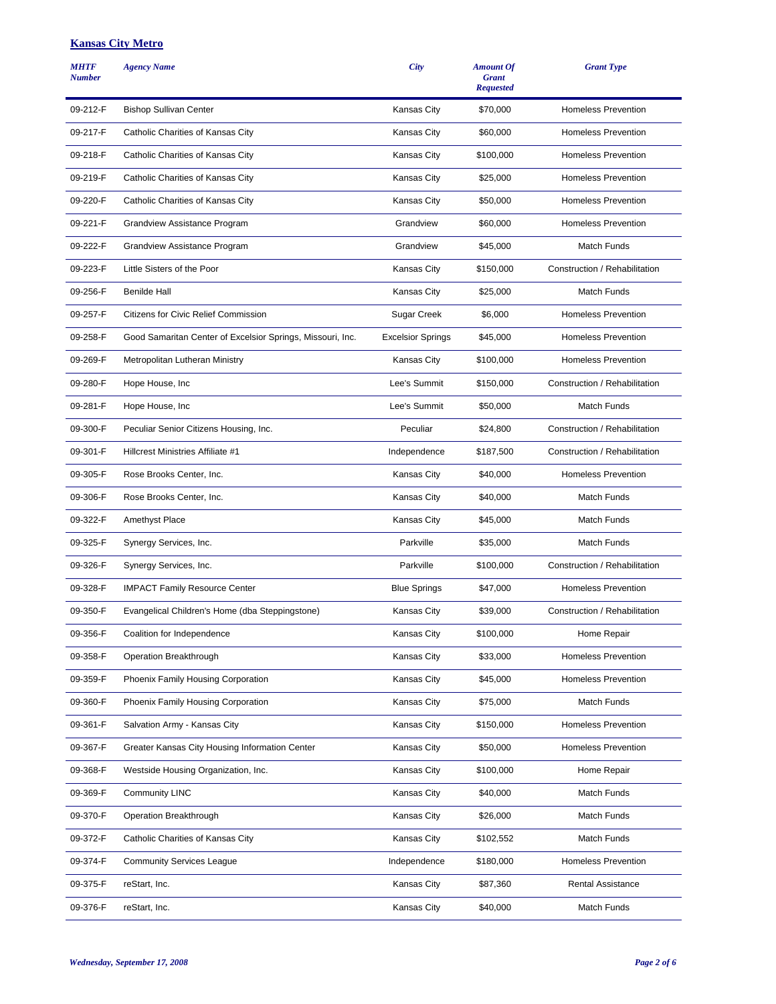#### **Kansas City Metro**

| <b>MHTF</b><br><b>Number</b> | <b>Agency Name</b>                                         | City                     | <b>Amount Of</b><br><b>Grant</b><br><b>Requested</b> | <b>Grant Type</b>             |
|------------------------------|------------------------------------------------------------|--------------------------|------------------------------------------------------|-------------------------------|
| 09-212-F                     | <b>Bishop Sullivan Center</b>                              | Kansas City              | \$70,000                                             | <b>Homeless Prevention</b>    |
| 09-217-F                     | Catholic Charities of Kansas City                          | Kansas City              | \$60,000                                             | <b>Homeless Prevention</b>    |
| 09-218-F                     | Catholic Charities of Kansas City                          | Kansas City              | \$100,000                                            | <b>Homeless Prevention</b>    |
| 09-219-F                     | Catholic Charities of Kansas City                          | Kansas City              | \$25,000                                             | <b>Homeless Prevention</b>    |
| 09-220-F                     | Catholic Charities of Kansas City                          | Kansas City              | \$50,000                                             | <b>Homeless Prevention</b>    |
| 09-221-F                     | Grandview Assistance Program                               | Grandview                | \$60,000                                             | <b>Homeless Prevention</b>    |
| 09-222-F                     | Grandview Assistance Program                               | Grandview                | \$45,000                                             | <b>Match Funds</b>            |
| 09-223-F                     | Little Sisters of the Poor                                 | Kansas City              | \$150,000                                            | Construction / Rehabilitation |
| 09-256-F                     | <b>Benilde Hall</b>                                        | Kansas City              | \$25,000                                             | Match Funds                   |
| 09-257-F                     | <b>Citizens for Civic Relief Commission</b>                | Sugar Creek              | \$6,000                                              | <b>Homeless Prevention</b>    |
| 09-258-F                     | Good Samaritan Center of Excelsior Springs, Missouri, Inc. | <b>Excelsior Springs</b> | \$45,000                                             | <b>Homeless Prevention</b>    |
| 09-269-F                     | Metropolitan Lutheran Ministry                             | Kansas City              | \$100,000                                            | <b>Homeless Prevention</b>    |
| 09-280-F                     | Hope House, Inc.                                           | Lee's Summit             | \$150,000                                            | Construction / Rehabilitation |
| 09-281-F                     | Hope House, Inc.                                           | Lee's Summit             | \$50,000                                             | <b>Match Funds</b>            |
| 09-300-F                     | Peculiar Senior Citizens Housing, Inc.                     | Peculiar                 | \$24,800                                             | Construction / Rehabilitation |
| 09-301-F                     | Hillcrest Ministries Affiliate #1                          | Independence             | \$187,500                                            | Construction / Rehabilitation |
| 09-305-F                     | Rose Brooks Center, Inc.                                   | Kansas City              | \$40,000                                             | <b>Homeless Prevention</b>    |
| 09-306-F                     | Rose Brooks Center, Inc.                                   | Kansas City              | \$40,000                                             | <b>Match Funds</b>            |
| 09-322-F                     | <b>Amethyst Place</b>                                      | Kansas City              | \$45,000                                             | Match Funds                   |
| 09-325-F                     | Synergy Services, Inc.                                     | Parkville                | \$35,000                                             | Match Funds                   |
| 09-326-F                     | Synergy Services, Inc.                                     | Parkville                | \$100,000                                            | Construction / Rehabilitation |
| 09-328-F                     | <b>IMPACT Family Resource Center</b>                       | <b>Blue Springs</b>      | \$47,000                                             | <b>Homeless Prevention</b>    |
| 09-350-F                     | Evangelical Children's Home (dba Steppingstone)            | Kansas City              | \$39,000                                             | Construction / Rehabilitation |
| 09-356-F                     | Coalition for Independence                                 | Kansas City              | \$100,000                                            | Home Repair                   |
| 09-358-F                     | Operation Breakthrough                                     | Kansas City              | \$33,000                                             | <b>Homeless Prevention</b>    |
| 09-359-F                     | Phoenix Family Housing Corporation                         | Kansas City              | \$45,000                                             | Homeless Prevention           |
| 09-360-F                     | Phoenix Family Housing Corporation                         | Kansas City              | \$75,000                                             | Match Funds                   |
| 09-361-F                     | Salvation Army - Kansas City                               | Kansas City              | \$150,000                                            | <b>Homeless Prevention</b>    |
| 09-367-F                     | Greater Kansas City Housing Information Center             | Kansas City              | \$50,000                                             | <b>Homeless Prevention</b>    |
| 09-368-F                     | Westside Housing Organization, Inc.                        | Kansas City              | \$100,000                                            | Home Repair                   |
| 09-369-F                     | <b>Community LINC</b>                                      | Kansas City              | \$40,000                                             | Match Funds                   |
| 09-370-F                     | Operation Breakthrough                                     | Kansas City              | \$26,000                                             | Match Funds                   |
| 09-372-F                     | Catholic Charities of Kansas City                          | Kansas City              | \$102,552                                            | Match Funds                   |
| 09-374-F                     | <b>Community Services League</b>                           | Independence             | \$180,000                                            | <b>Homeless Prevention</b>    |
| 09-375-F                     | reStart, Inc.                                              | Kansas City              | \$87,360                                             | <b>Rental Assistance</b>      |
| 09-376-F                     | reStart, Inc.                                              | Kansas City              | \$40,000                                             | Match Funds                   |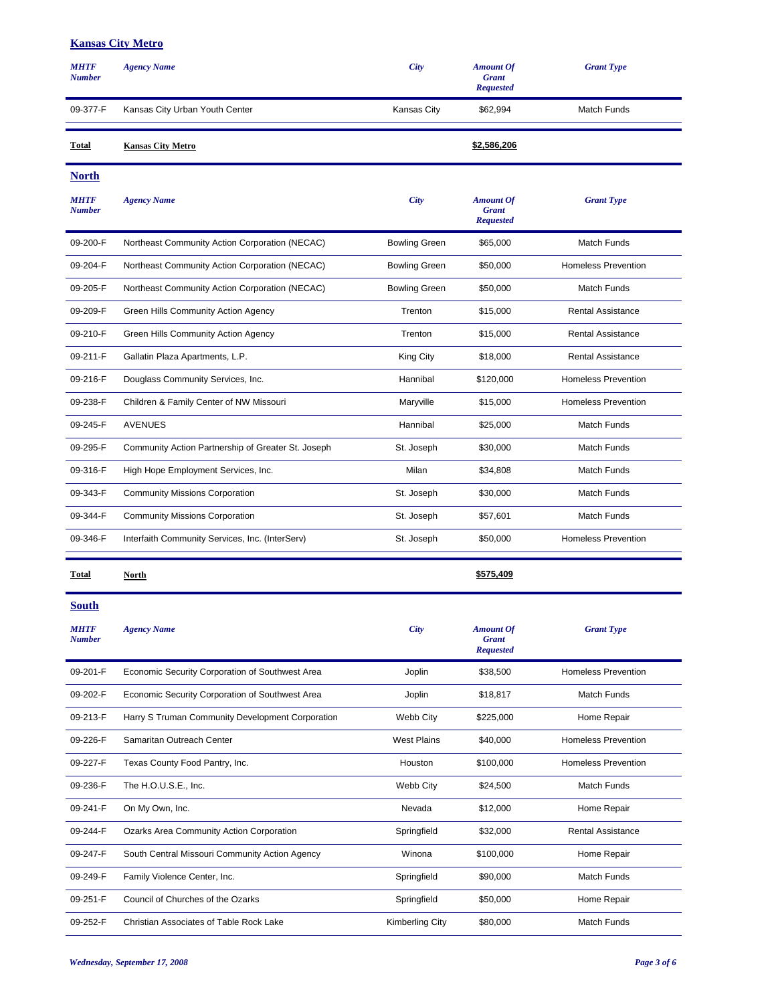#### **Kansas City Metro**

| <b>MHTF</b><br><b>Number</b> | <b>Agency Name</b>                                 | City                 | <b>Amount Of</b><br><b>Grant</b><br><b>Requested</b> | <b>Grant Type</b>          |
|------------------------------|----------------------------------------------------|----------------------|------------------------------------------------------|----------------------------|
| 09-377-F                     | Kansas City Urban Youth Center                     | Kansas City          | \$62,994                                             | Match Funds                |
| Total                        | <b>Kansas City Metro</b>                           |                      | \$2,586,206                                          |                            |
| <b>North</b>                 |                                                    |                      |                                                      |                            |
| <b>MHTF</b><br><b>Number</b> | <b>Agency Name</b>                                 | City                 | <b>Amount Of</b><br><b>Grant</b><br><b>Requested</b> | <b>Grant Type</b>          |
| 09-200-F                     | Northeast Community Action Corporation (NECAC)     | <b>Bowling Green</b> | \$65,000                                             | Match Funds                |
| 09-204-F                     | Northeast Community Action Corporation (NECAC)     | <b>Bowling Green</b> | \$50,000                                             | <b>Homeless Prevention</b> |
| 09-205-F                     | Northeast Community Action Corporation (NECAC)     | <b>Bowling Green</b> | \$50,000                                             | Match Funds                |
| 09-209-F                     | Green Hills Community Action Agency                | Trenton              | \$15,000                                             | <b>Rental Assistance</b>   |
| 09-210-F                     | Green Hills Community Action Agency                | Trenton              | \$15,000                                             | <b>Rental Assistance</b>   |
| 09-211-F                     | Gallatin Plaza Apartments, L.P.                    | King City            | \$18,000                                             | <b>Rental Assistance</b>   |
| 09-216-F                     | Douglass Community Services, Inc.                  | Hannibal             | \$120,000                                            | <b>Homeless Prevention</b> |
| 09-238-F                     | Children & Family Center of NW Missouri            | Maryville            | \$15,000                                             | <b>Homeless Prevention</b> |
| 09-245-F                     | <b>AVENUES</b>                                     | Hannibal             | \$25,000                                             | Match Funds                |
| 09-295-F                     | Community Action Partnership of Greater St. Joseph | St. Joseph           | \$30,000                                             | Match Funds                |
| 09-316-F                     | High Hope Employment Services, Inc.                | Milan                | \$34,808                                             | Match Funds                |
| 09-343-F                     | <b>Community Missions Corporation</b>              | St. Joseph           | \$30,000                                             | Match Funds                |
| 09-344-F                     | <b>Community Missions Corporation</b>              | St. Joseph           | \$57,601                                             | Match Funds                |
| 09-346-F                     | Interfaith Community Services, Inc. (InterServ)    | St. Joseph           | \$50,000                                             | <b>Homeless Prevention</b> |
| <b>Total</b>                 | North                                              |                      | \$575,409                                            |                            |
| <b>South</b>                 |                                                    |                      |                                                      |                            |
| <b>MHTF</b><br><b>Number</b> | <b>Agency Name</b>                                 | <b>City</b>          | <b>Amount Of</b><br><b>Grant</b><br><b>Requested</b> | <b>Grant Type</b>          |
| 09-201-F                     | Economic Security Corporation of Southwest Area    | Joplin               | \$38,500                                             | <b>Homeless Prevention</b> |
| 09-202-F                     | Economic Security Corporation of Southwest Area    | Joplin               | \$18,817                                             | Match Funds                |
| 09-213-F                     | Harry S Truman Community Development Corporation   | Webb City            | \$225,000                                            | Home Repair                |
| 09-226-F                     | Samaritan Outreach Center                          | <b>West Plains</b>   | \$40,000                                             | <b>Homeless Prevention</b> |
| 09-227-F                     | Texas County Food Pantry, Inc.                     | Houston              | \$100,000                                            | <b>Homeless Prevention</b> |
| 09-236-F                     | The H.O.U.S.E., Inc.                               | Webb City            | \$24,500                                             | Match Funds                |
| 09-241-F                     | On My Own, Inc.                                    | Nevada               | \$12,000                                             | Home Repair                |
| 09-244-F                     | Ozarks Area Community Action Corporation           | Springfield          | \$32,000                                             | Rental Assistance          |
| 09-247-F                     | South Central Missouri Community Action Agency     | Winona               | \$100,000                                            | Home Repair                |
| 09-249-F                     | Family Violence Center, Inc.                       | Springfield          | \$90,000                                             | Match Funds                |
| 09-251-F                     | Council of Churches of the Ozarks                  | Springfield          | \$50,000                                             | Home Repair                |
| 09-252-F                     | Christian Associates of Table Rock Lake            | Kimberling City      | \$80,000                                             | Match Funds                |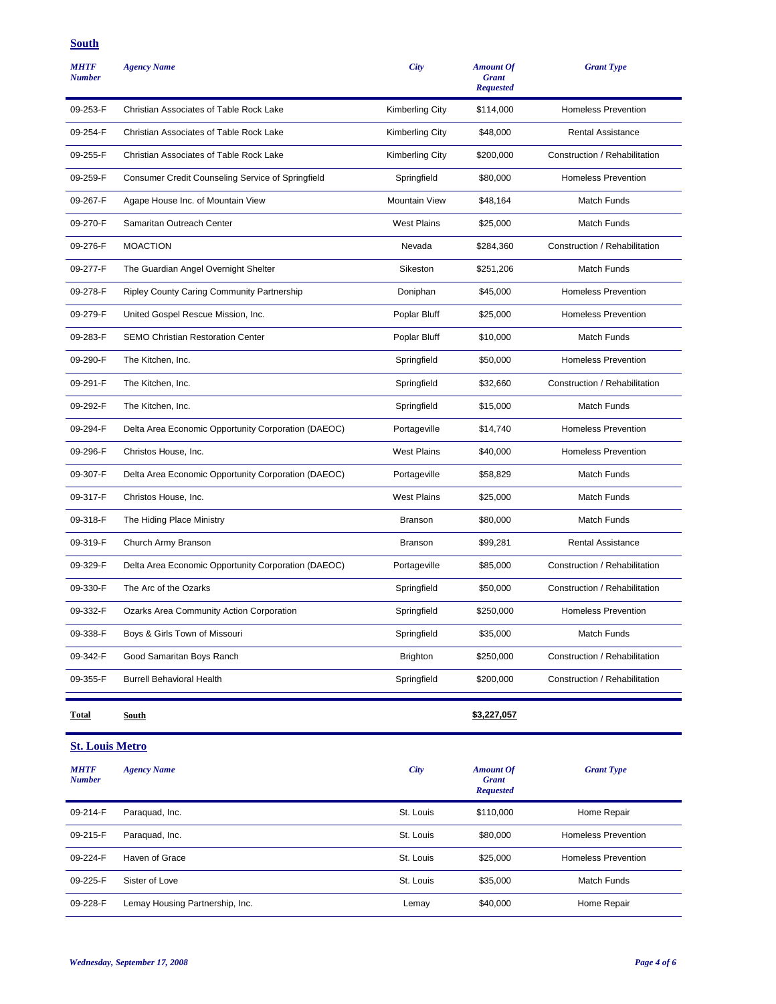### **South**

| <b>MHTF</b><br><b>Number</b> | <b>Agency Name</b>                                  | <b>City</b>            | <b>Amount Of</b><br><b>Grant</b><br><b>Requested</b> | <b>Grant Type</b>             |
|------------------------------|-----------------------------------------------------|------------------------|------------------------------------------------------|-------------------------------|
| 09-253-F                     | Christian Associates of Table Rock Lake             | Kimberling City        | \$114,000                                            | <b>Homeless Prevention</b>    |
| 09-254-F                     | Christian Associates of Table Rock Lake             | <b>Kimberling City</b> | \$48,000                                             | <b>Rental Assistance</b>      |
| 09-255-F                     | Christian Associates of Table Rock Lake             | Kimberling City        | \$200,000                                            | Construction / Rehabilitation |
| 09-259-F                     | Consumer Credit Counseling Service of Springfield   | Springfield            | \$80,000                                             | <b>Homeless Prevention</b>    |
| 09-267-F                     | Agape House Inc. of Mountain View                   | <b>Mountain View</b>   | \$48,164                                             | Match Funds                   |
| 09-270-F                     | Samaritan Outreach Center                           | <b>West Plains</b>     | \$25,000                                             | Match Funds                   |
| 09-276-F                     | <b>MOACTION</b>                                     | Nevada                 | \$284,360                                            | Construction / Rehabilitation |
| 09-277-F                     | The Guardian Angel Overnight Shelter                | Sikeston               | \$251,206                                            | Match Funds                   |
| 09-278-F                     | Ripley County Caring Community Partnership          | Doniphan               | \$45,000                                             | <b>Homeless Prevention</b>    |
| 09-279-F                     | United Gospel Rescue Mission, Inc.                  | Poplar Bluff           | \$25,000                                             | <b>Homeless Prevention</b>    |
| 09-283-F                     | <b>SEMO Christian Restoration Center</b>            | Poplar Bluff           | \$10,000                                             | Match Funds                   |
| 09-290-F                     | The Kitchen, Inc.                                   | Springfield            | \$50,000                                             | <b>Homeless Prevention</b>    |
| 09-291-F                     | The Kitchen, Inc.                                   | Springfield            | \$32,660                                             | Construction / Rehabilitation |
| 09-292-F                     | The Kitchen, Inc.                                   | Springfield            | \$15,000                                             | Match Funds                   |
| 09-294-F                     | Delta Area Economic Opportunity Corporation (DAEOC) | Portageville           | \$14,740                                             | <b>Homeless Prevention</b>    |
| 09-296-F                     | Christos House, Inc.                                | <b>West Plains</b>     | \$40,000                                             | <b>Homeless Prevention</b>    |
| 09-307-F                     | Delta Area Economic Opportunity Corporation (DAEOC) | Portageville           | \$58,829                                             | Match Funds                   |
| 09-317-F                     | Christos House, Inc.                                | <b>West Plains</b>     | \$25,000                                             | Match Funds                   |
| 09-318-F                     | The Hiding Place Ministry                           | <b>Branson</b>         | \$80,000                                             | Match Funds                   |
| 09-319-F                     | Church Army Branson                                 | <b>Branson</b>         | \$99,281                                             | <b>Rental Assistance</b>      |
| 09-329-F                     | Delta Area Economic Opportunity Corporation (DAEOC) | Portageville           | \$85,000                                             | Construction / Rehabilitation |
| 09-330-F                     | The Arc of the Ozarks                               | Springfield            | \$50,000                                             | Construction / Rehabilitation |
| 09-332-F                     | Ozarks Area Community Action Corporation            | Springfield            | \$250,000                                            | <b>Homeless Prevention</b>    |
| 09-338-F                     | Boys & Girls Town of Missouri                       | Springfield            | \$35,000                                             | Match Funds                   |
| 09-342-F                     | Good Samaritan Boys Ranch                           | <b>Brighton</b>        | \$250,000                                            | Construction / Rehabilitation |
| 09-355-F                     | <b>Burrell Behavioral Health</b>                    | Springfield            | \$200,000                                            | Construction / Rehabilitation |
| <b>Total</b>                 | South                                               |                        | \$3,227,057                                          |                               |
| <b>St. Louis Metro</b>       |                                                     |                        |                                                      |                               |
| <b>MHTF</b><br><b>Number</b> | <b>Agency Name</b>                                  | <b>City</b>            | <b>Amount Of</b><br><b>Grant</b><br><b>Requested</b> | <b>Grant Type</b>             |
| 09-214-F                     | Paraquad, Inc.                                      | St. Louis              | \$110,000                                            | Home Repair                   |
| 09-215-F                     | Paraquad, Inc.                                      | St. Louis              | \$80,000                                             | <b>Homeless Prevention</b>    |
| 09-224-F                     | Haven of Grace                                      | St. Louis              | \$25,000                                             | <b>Homeless Prevention</b>    |
| 09-225-F                     | Sister of Love                                      | St. Louis              | \$35,000                                             | Match Funds                   |

09-228-F Lemay Housing Partnership, Inc. Comments and the Lemay the S40,000 Home Repair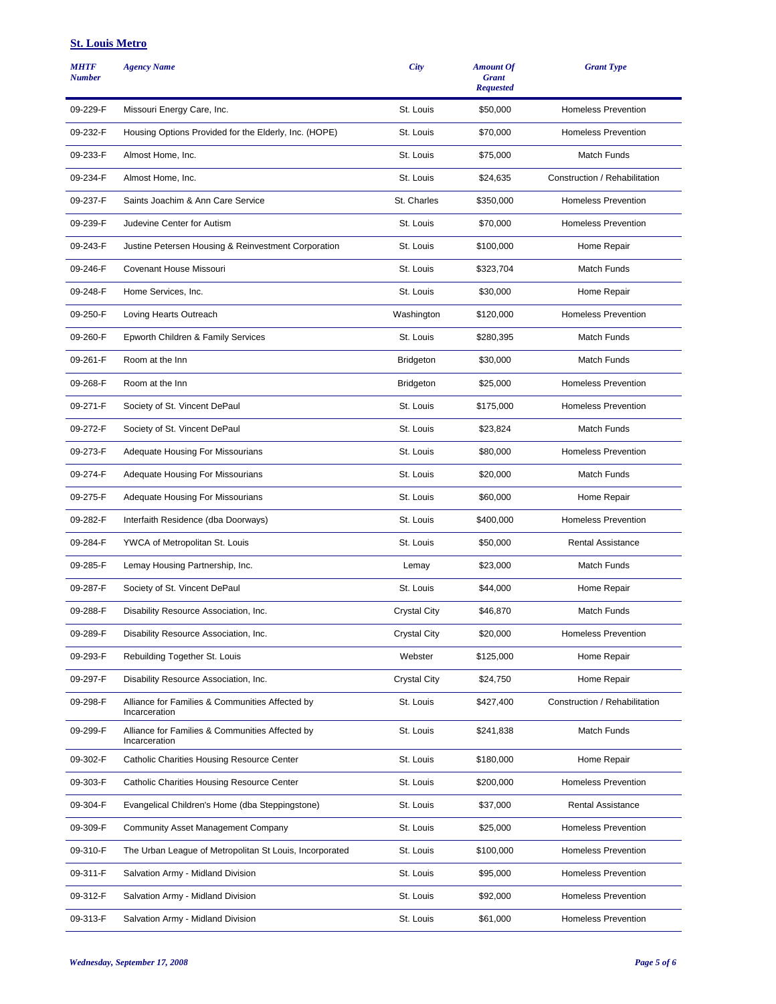#### **St. Louis Metro**

| <b>MHTF</b><br><b>Number</b> | <b>Agency Name</b>                                               | City                | <b>Amount Of</b><br><b>Grant</b><br><b>Requested</b> | <b>Grant Type</b>             |
|------------------------------|------------------------------------------------------------------|---------------------|------------------------------------------------------|-------------------------------|
| 09-229-F                     | Missouri Energy Care, Inc.                                       | St. Louis           | \$50,000                                             | <b>Homeless Prevention</b>    |
| 09-232-F                     | Housing Options Provided for the Elderly, Inc. (HOPE)            | St. Louis           | \$70,000                                             | <b>Homeless Prevention</b>    |
| 09-233-F                     | Almost Home, Inc.                                                | St. Louis           | \$75,000                                             | Match Funds                   |
| 09-234-F                     | Almost Home, Inc.                                                | St. Louis           | \$24,635                                             | Construction / Rehabilitation |
| 09-237-F                     | Saints Joachim & Ann Care Service                                | St. Charles         | \$350,000                                            | <b>Homeless Prevention</b>    |
| 09-239-F                     | Judevine Center for Autism                                       | St. Louis           | \$70,000                                             | <b>Homeless Prevention</b>    |
| 09-243-F                     | Justine Petersen Housing & Reinvestment Corporation              | St. Louis           | \$100,000                                            | Home Repair                   |
| 09-246-F                     | Covenant House Missouri                                          | St. Louis           | \$323,704                                            | Match Funds                   |
| 09-248-F                     | Home Services, Inc.                                              | St. Louis           | \$30,000                                             | Home Repair                   |
| 09-250-F                     | Loving Hearts Outreach                                           | Washington          | \$120,000                                            | <b>Homeless Prevention</b>    |
| 09-260-F                     | Epworth Children & Family Services                               | St. Louis           | \$280,395                                            | Match Funds                   |
| 09-261-F                     | Room at the Inn                                                  | <b>Bridgeton</b>    | \$30,000                                             | Match Funds                   |
| 09-268-F                     | Room at the Inn                                                  | <b>Bridgeton</b>    | \$25,000                                             | <b>Homeless Prevention</b>    |
| 09-271-F                     | Society of St. Vincent DePaul                                    | St. Louis           | \$175,000                                            | <b>Homeless Prevention</b>    |
| 09-272-F                     | Society of St. Vincent DePaul                                    | St. Louis           | \$23,824                                             | <b>Match Funds</b>            |
| 09-273-F                     | Adequate Housing For Missourians                                 | St. Louis           | \$80,000                                             | <b>Homeless Prevention</b>    |
| 09-274-F                     | <b>Adequate Housing For Missourians</b>                          | St. Louis           | \$20,000                                             | Match Funds                   |
| 09-275-F                     | Adequate Housing For Missourians                                 | St. Louis           | \$60,000                                             | Home Repair                   |
| 09-282-F                     | Interfaith Residence (dba Doorways)                              | St. Louis           | \$400,000                                            | <b>Homeless Prevention</b>    |
| 09-284-F                     | YWCA of Metropolitan St. Louis                                   | St. Louis           | \$50,000                                             | <b>Rental Assistance</b>      |
| 09-285-F                     | Lemay Housing Partnership, Inc.                                  | Lemay               | \$23,000                                             | Match Funds                   |
| 09-287-F                     | Society of St. Vincent DePaul                                    | St. Louis           | \$44,000                                             | Home Repair                   |
| 09-288-F                     | Disability Resource Association, Inc.                            | <b>Crystal City</b> | \$46,870                                             | Match Funds                   |
| 09-289-F                     | Disability Resource Association, Inc.                            | <b>Crystal City</b> | \$20,000                                             | <b>Homeless Prevention</b>    |
| 09-293-F                     | Rebuilding Together St. Louis                                    | Webster             | \$125,000                                            | Home Repair                   |
| 09-297-F                     | Disability Resource Association, Inc.                            | <b>Crystal City</b> | \$24,750                                             | Home Repair                   |
| 09-298-F                     | Alliance for Families & Communities Affected by<br>Incarceration | St. Louis           | \$427,400                                            | Construction / Rehabilitation |
| 09-299-F                     | Alliance for Families & Communities Affected by<br>Incarceration | St. Louis           | \$241,838                                            | Match Funds                   |
| 09-302-F                     | Catholic Charities Housing Resource Center                       | St. Louis           | \$180,000                                            | Home Repair                   |
| 09-303-F                     | Catholic Charities Housing Resource Center                       | St. Louis           | \$200,000                                            | <b>Homeless Prevention</b>    |
| 09-304-F                     | Evangelical Children's Home (dba Steppingstone)                  | St. Louis           | \$37,000                                             | <b>Rental Assistance</b>      |
| 09-309-F                     | <b>Community Asset Management Company</b>                        | St. Louis           | \$25,000                                             | <b>Homeless Prevention</b>    |
| 09-310-F                     | The Urban League of Metropolitan St Louis, Incorporated          | St. Louis           | \$100,000                                            | <b>Homeless Prevention</b>    |
| 09-311-F                     | Salvation Army - Midland Division                                | St. Louis           | \$95,000                                             | <b>Homeless Prevention</b>    |
| 09-312-F                     | Salvation Army - Midland Division                                | St. Louis           | \$92,000                                             | <b>Homeless Prevention</b>    |
| 09-313-F                     | Salvation Army - Midland Division                                | St. Louis           | \$61,000                                             | <b>Homeless Prevention</b>    |